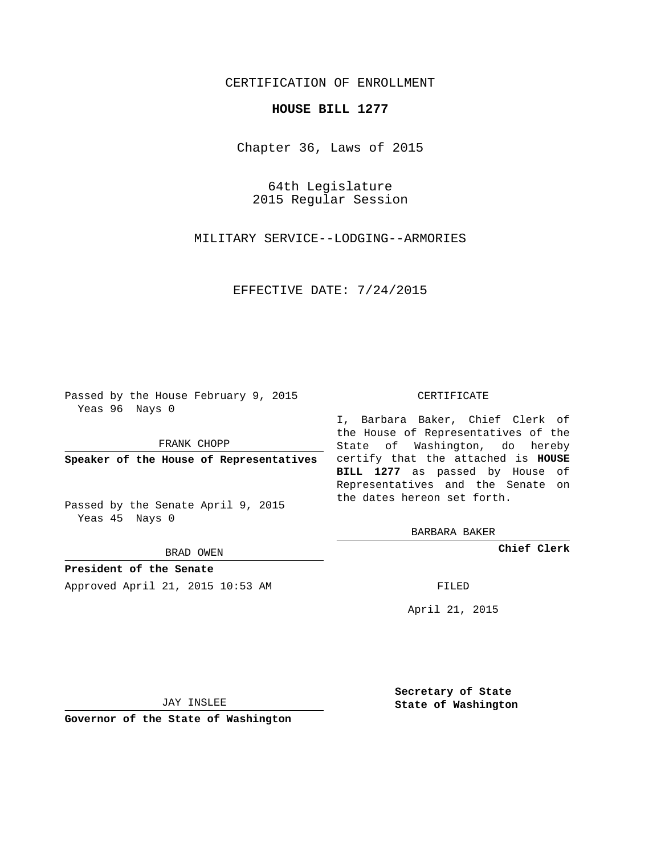## CERTIFICATION OF ENROLLMENT

## **HOUSE BILL 1277**

Chapter 36, Laws of 2015

64th Legislature 2015 Regular Session

MILITARY SERVICE--LODGING--ARMORIES

EFFECTIVE DATE: 7/24/2015

Passed by the House February 9, 2015 Yeas 96 Nays 0

FRANK CHOPP

Passed by the Senate April 9, 2015 Yeas 45 Nays 0

BRAD OWEN

**President of the Senate**

Approved April 21, 2015 10:53 AM FILED

## CERTIFICATE

**Speaker of the House of Representatives** certify that the attached is **HOUSE** I, Barbara Baker, Chief Clerk of the House of Representatives of the State of Washington, do hereby **BILL 1277** as passed by House of Representatives and the Senate on the dates hereon set forth.

BARBARA BAKER

**Chief Clerk**

April 21, 2015

JAY INSLEE

**Governor of the State of Washington**

**Secretary of State State of Washington**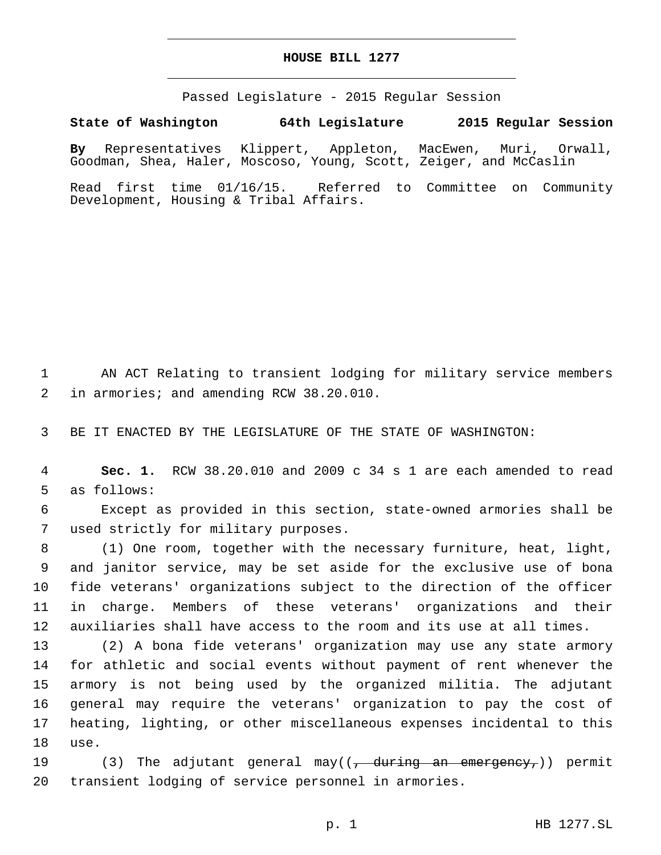## **HOUSE BILL 1277**

Passed Legislature - 2015 Regular Session

**State of Washington 64th Legislature 2015 Regular Session**

**By** Representatives Klippert, Appleton, MacEwen, Muri, Orwall, Goodman, Shea, Haler, Moscoso, Young, Scott, Zeiger, and McCaslin

Read first time 01/16/15. Referred to Committee on Community Development, Housing & Tribal Affairs.

1 AN ACT Relating to transient lodging for military service members in armories; and amending RCW 38.20.010.2

3 BE IT ENACTED BY THE LEGISLATURE OF THE STATE OF WASHINGTON:

4 **Sec. 1.** RCW 38.20.010 and 2009 c 34 s 1 are each amended to read 5 as follows:

6 Except as provided in this section, state-owned armories shall be 7 used strictly for military purposes.

 (1) One room, together with the necessary furniture, heat, light, and janitor service, may be set aside for the exclusive use of bona fide veterans' organizations subject to the direction of the officer in charge. Members of these veterans' organizations and their auxiliaries shall have access to the room and its use at all times.

 (2) A bona fide veterans' organization may use any state armory for athletic and social events without payment of rent whenever the armory is not being used by the organized militia. The adjutant general may require the veterans' organization to pay the cost of heating, lighting, or other miscellaneous expenses incidental to this 18 use.

19 (3) The adjutant general may((<del>, during an emergency,</del>)) permit 20 transient lodging of service personnel in armories.